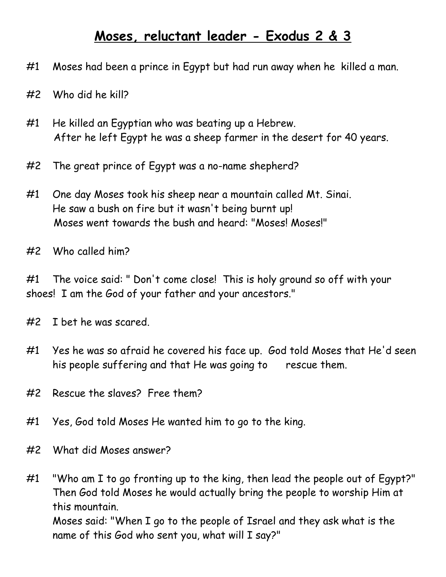## **Moses, reluctant leader - Exodus 2 & 3**

- #1 Moses had been a prince in Egypt but had run away when he killed a man.
- #2 Who did he kill?
- #1 He killed an Egyptian who was beating up a Hebrew. After he left Egypt he was a sheep farmer in the desert for 40 years.
- #2 The great prince of Egypt was a no-name shepherd?
- #1 One day Moses took his sheep near a mountain called Mt. Sinai. He saw a bush on fire but it wasn't being burnt up! Moses went towards the bush and heard: "Moses! Moses!"
- #2 Who called him?

#1 The voice said: " Don't come close! This is holy ground so off with your shoes! I am the God of your father and your ancestors."

- #2 I bet he was scared.
- #1 Yes he was so afraid he covered his face up. God told Moses that He'd seen his people suffering and that He was going to rescue them.
- #2 Rescue the slaves? Free them?
- #1 Yes, God told Moses He wanted him to go to the king.
- #2 What did Moses answer?

#1 "Who am I to go fronting up to the king, then lead the people out of Egypt?" Then God told Moses he would actually bring the people to worship Him at this mountain. Moses said: "When I go to the people of Israel and they ask what is the

name of this God who sent you, what will I say?"